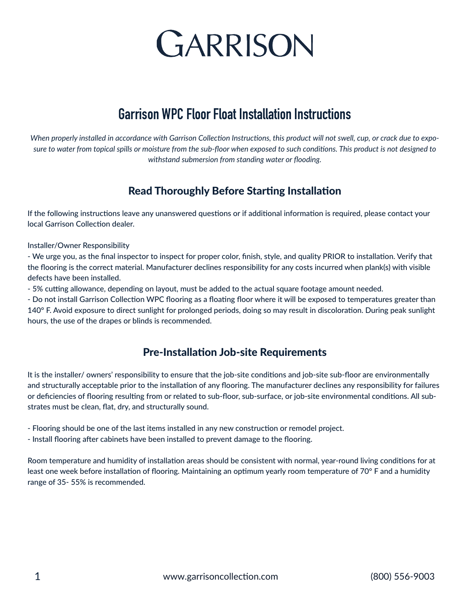

## **Garrison WPC Floor Float Installation Instructions**

*When properly installed in accordance with Garrison Collection Instructions, this product will not swell, cup, or crack due to exposure to water from topical spills or moisture from the sub-floor when exposed to such conditions. This product is not designed to withstand submersion from standing water or flooding.*

## Read Thoroughly Before Starting Installation

If the following instructions leave any unanswered questions or if additional information is required, please contact your local Garrison Collection dealer.

Installer/Owner Responsibility

- We urge you, as the final inspector to inspect for proper color, finish, style, and quality PRIOR to installation. Verify that the flooring is the correct material. Manufacturer declines responsibility for any costs incurred when plank(s) with visible defects have been installed.

- 5% cutting allowance, depending on layout, must be added to the actual square footage amount needed.

- Do not install Garrison Collection WPC flooring as a floating floor where it will be exposed to temperatures greater than 140° F. Avoid exposure to direct sunlight for prolonged periods, doing so may result in discoloration. During peak sunlight hours, the use of the drapes or blinds is recommended.

## Pre-Installation Job-site Requirements

It is the installer/ owners' responsibility to ensure that the job-site conditions and job-site sub-floor are environmentally and structurally acceptable prior to the installation of any flooring. The manufacturer declines any responsibility for failures or deficiencies of flooring resulting from or related to sub-floor, sub-surface, or job-site environmental conditions. All substrates must be clean, flat, dry, and structurally sound.

- Flooring should be one of the last items installed in any new construction or remodel project.

- Install flooring after cabinets have been installed to prevent damage to the flooring.

Room temperature and humidity of installation areas should be consistent with normal, year-round living conditions for at least one week before installation of flooring. Maintaining an optimum yearly room temperature of 70° F and a humidity range of 35- 55% is recommended.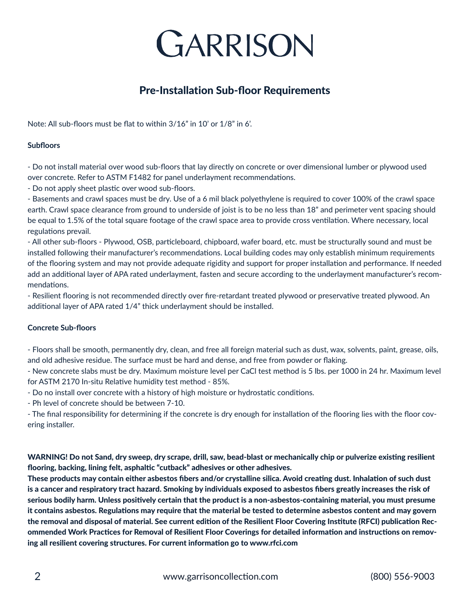

## Pre-Installation Sub-floor Requirements

Note: All sub-floors must be flat to within 3/16" in 10' or 1/8" in 6'.

#### **Subfloors**

- Do not install material over wood sub-floors that lay directly on concrete or over dimensional lumber or plywood used over concrete. Refer to ASTM F1482 for panel underlayment recommendations.

- Do not apply sheet plastic over wood sub-floors.

- Basements and crawl spaces must be dry. Use of a 6 mil black polyethylene is required to cover 100% of the crawl space earth. Crawl space clearance from ground to underside of joist is to be no less than 18" and perimeter vent spacing should be equal to 1.5% of the total square footage of the crawl space area to provide cross ventilation. Where necessary, local regulations prevail.

- All other sub-floors - Plywood, OSB, particleboard, chipboard, wafer board, etc. must be structurally sound and must be installed following their manufacturer's recommendations. Local building codes may only establish minimum requirements of the flooring system and may not provide adequate rigidity and support for proper installation and performance. If needed add an additional layer of APA rated underlayment, fasten and secure according to the underlayment manufacturer's recommendations.

- Resilient flooring is not recommended directly over fire-retardant treated plywood or preservative treated plywood. An additional layer of APA rated 1/4" thick underlayment should be installed.

#### **Concrete Sub-floors**

- Floors shall be smooth, permanently dry, clean, and free all foreign material such as dust, wax, solvents, paint, grease, oils, and old adhesive residue. The surface must be hard and dense, and free from powder or flaking.

- New concrete slabs must be dry. Maximum moisture level per CaCl test method is 5 lbs. per 1000 in 24 hr. Maximum level for ASTM 2170 In-situ Relative humidity test method - 85%.

- Do no install over concrete with a history of high moisture or hydrostatic conditions.

- Ph level of concrete should be between 7-10.

- The final responsibility for determining if the concrete is dry enough for installation of the flooring lies with the floor covering installer.

WARNING! Do not Sand, dry sweep, dry scrape, drill, saw, bead-blast or mechanically chip or pulverize existing resilient flooring, backing, lining felt, asphaltic "cutback" adhesives or other adhesives.

These products may contain either asbestos fibers and/or crystalline silica. Avoid creating dust. Inhalation of such dust is a cancer and respiratory tract hazard. Smoking by individuals exposed to asbestos fibers greatly increases the risk of serious bodily harm. Unless positively certain that the product is a non-asbestos-containing material, you must presume it contains asbestos. Regulations may require that the material be tested to determine asbestos content and may govern the removal and disposal of material. See current edition of the Resilient Floor Covering Institute (RFCI) publication Recommended Work Practices for Removal of Resilient Floor Coverings for detailed information and instructions on removing all resilient covering structures. For current information go to www.rfci.com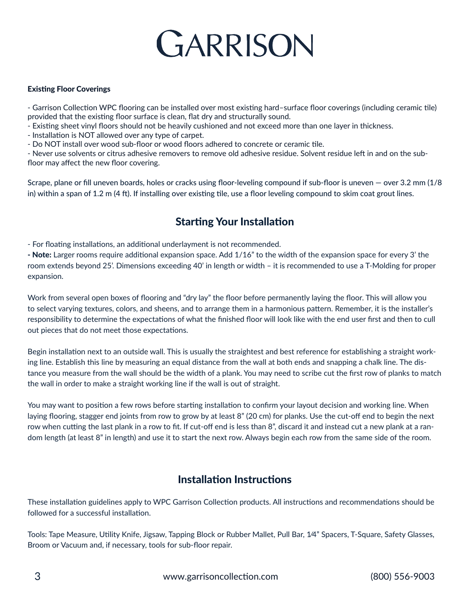## GARRISON

#### Existing Floor Coverings

- Garrison Collection WPC flooring can be installed over most existing hard–surface floor coverings (including ceramic tile) provided that the existing floor surface is clean, flat dry and structurally sound.

- Existing sheet vinyl floors should not be heavily cushioned and not exceed more than one layer in thickness.

- Installation is NOT allowed over any type of carpet.

- Do NOT install over wood sub-floor or wood floors adhered to concrete or ceramic tile.

- Never use solvents or citrus adhesive removers to remove old adhesive residue. Solvent residue left in and on the subfloor may affect the new floor covering.

Scrape, plane or fill uneven boards, holes or cracks using floor-leveling compound if sub-floor is uneven — over 3.2 mm (1/8 in) within a span of 1.2 m (4 ft). If installing over existing tile, use a floor leveling compound to skim coat grout lines.

## Starting Your Installation

- For floating installations, an additional underlayment is not recommended.

- Note: Larger rooms require additional expansion space. Add 1/16" to the width of the expansion space for every 3' the room extends beyond 25'. Dimensions exceeding 40' in length or width – it is recommended to use a T-Molding for proper expansion.

Work from several open boxes of flooring and "dry lay" the floor before permanently laying the floor. This will allow you to select varying textures, colors, and sheens, and to arrange them in a harmonious pattern. Remember, it is the installer's responsibility to determine the expectations of what the finished floor will look like with the end user first and then to cull out pieces that do not meet those expectations.

Begin installation next to an outside wall. This is usually the straightest and best reference for establishing a straight working line. Establish this line by measuring an equal distance from the wall at both ends and snapping a chalk line. The distance you measure from the wall should be the width of a plank. You may need to scribe cut the first row of planks to match the wall in order to make a straight working line if the wall is out of straight.

You may want to position a few rows before starting installation to confirm your layout decision and working line. When laying flooring, stagger end joints from row to grow by at least 8" (20 cm) for planks. Use the cut-off end to begin the next row when cutting the last plank in a row to fit. If cut-off end is less than 8", discard it and instead cut a new plank at a random length (at least 8" in length) and use it to start the next row. Always begin each row from the same side of the room.

## Installation Instructions

These installation guidelines apply to WPC Garrison Collection products. All instructions and recommendations should be followed for a successful installation.

Tools: Tape Measure, Utility Knife, Jigsaw, Tapping Block or Rubber Mallet, Pull Bar, 1⁄4" Spacers, T-Square, Safety Glasses, Broom or Vacuum and, if necessary, tools for sub-floor repair.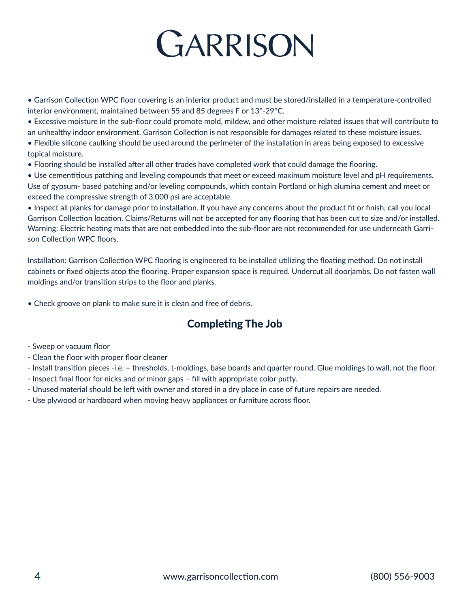

• Garrison Collection WPC floor covering is an interior product and must be stored/installed in a temperature-controlled interior environment, maintained between 55 and 85 degrees F or 13°-29°C.

• Excessive moisture in the sub-floor could promote mold, mildew, and other moisture related issues that will contribute to an unhealthy indoor environment. Garrison Collection is not responsible for damages related to these moisture issues.

• Flexible silicone caulking should be used around the perimeter of the installation in areas being exposed to excessive topical moisture.

• Flooring should be installed after all other trades have completed work that could damage the flooring.

• Use cementitious patching and leveling compounds that meet or exceed maximum moisture level and pH requirements. Use of gypsum- based patching and/or leveling compounds, which contain Portland or high alumina cement and meet or exceed the compressive strength of 3,000 psi are acceptable.

• Inspect all planks for damage prior to installation. If you have any concerns about the product fit or finish, call you local Garrison Collection location. Claims/Returns will not be accepted for any flooring that has been cut to size and/or installed. Warning: Electric heating mats that are not embedded into the sub-floor are not recommended for use underneath Garrison Collection WPC floors.

Installation: Garrison Collection WPC flooring is engineered to be installed utilizing the floating method. Do not install cabinets or fixed objects atop the flooring. Proper expansion space is required. Undercut all doorjambs. Do not fasten wall moldings and/or transition strips to the floor and planks.

• Check groove on plank to make sure it is clean and free of debris.

## Completing The Job

- Sweep or vacuum floor
- Clean the floor with proper floor cleaner

- Install transition pieces -i.e. – thresholds, t-moldings, base boards and quarter round. Glue moldings to wall, not the floor.

- Inspect final floor for nicks and or minor gaps fill with appropriate color putty.
- Unused material should be left with owner and stored in a dry place in case of future repairs are needed.
- Use plywood or hardboard when moving heavy appliances or furniture across floor.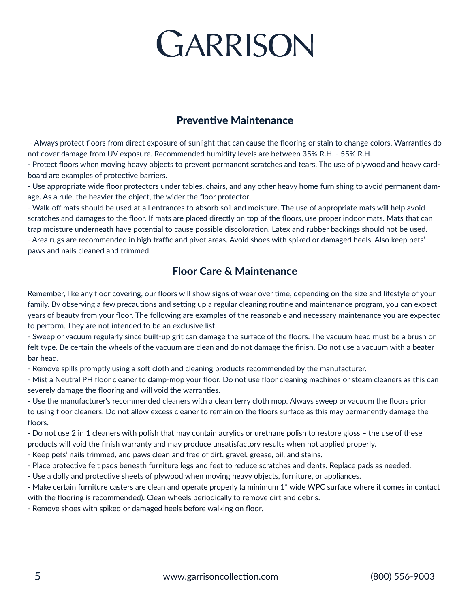# GARRISON

## Preventive Maintenance

 - Always protect floors from direct exposure of sunlight that can cause the flooring or stain to change colors. Warranties do not cover damage from UV exposure. Recommended humidity levels are between 35% R.H. - 55% R.H.

- Protect floors when moving heavy objects to prevent permanent scratches and tears. The use of plywood and heavy cardboard are examples of protective barriers.

- Use appropriate wide floor protectors under tables, chairs, and any other heavy home furnishing to avoid permanent damage. As a rule, the heavier the object, the wider the floor protector.

- Walk-off mats should be used at all entrances to absorb soil and moisture. The use of appropriate mats will help avoid scratches and damages to the floor. If mats are placed directly on top of the floors, use proper indoor mats. Mats that can trap moisture underneath have potential to cause possible discoloration. Latex and rubber backings should not be used. - Area rugs are recommended in high traffic and pivot areas. Avoid shoes with spiked or damaged heels. Also keep pets' paws and nails cleaned and trimmed.

## Floor Care & Maintenance

Remember, like any floor covering, our floors will show signs of wear over time, depending on the size and lifestyle of your family. By observing a few precautions and setting up a regular cleaning routine and maintenance program, you can expect years of beauty from your floor. The following are examples of the reasonable and necessary maintenance you are expected to perform. They are not intended to be an exclusive list.

- Sweep or vacuum regularly since built-up grit can damage the surface of the floors. The vacuum head must be a brush or felt type. Be certain the wheels of the vacuum are clean and do not damage the finish. Do not use a vacuum with a beater bar head.

- Remove spills promptly using a soft cloth and cleaning products recommended by the manufacturer.

- Mist a Neutral PH floor cleaner to damp-mop your floor. Do not use floor cleaning machines or steam cleaners as this can severely damage the flooring and will void the warranties.

- Use the manufacturer's recommended cleaners with a clean terry cloth mop. Always sweep or vacuum the floors prior to using floor cleaners. Do not allow excess cleaner to remain on the floors surface as this may permanently damage the floors.

- Do not use 2 in 1 cleaners with polish that may contain acrylics or urethane polish to restore gloss – the use of these products will void the finish warranty and may produce unsatisfactory results when not applied properly.

- Keep pets' nails trimmed, and paws clean and free of dirt, gravel, grease, oil, and stains.
- Place protective felt pads beneath furniture legs and feet to reduce scratches and dents. Replace pads as needed.
- Use a dolly and protective sheets of plywood when moving heavy objects, furniture, or appliances.

- Make certain furniture casters are clean and operate properly (a minimum 1" wide WPC surface where it comes in contact with the flooring is recommended). Clean wheels periodically to remove dirt and debris.

- Remove shoes with spiked or damaged heels before walking on floor.